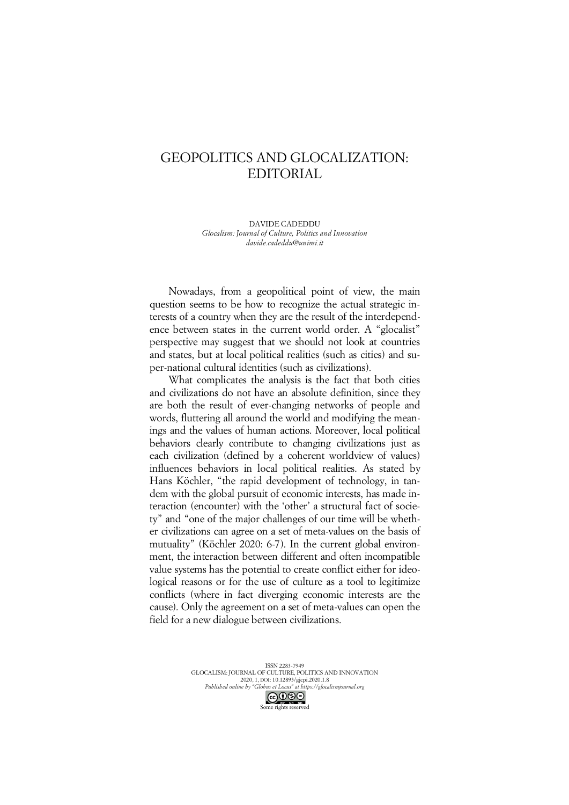## GEOPOLITICS AND GLOCALIZATION: EDITORIAL

DAVIDE CADEDDU *Glocalism: Journal of Culture, Politics and Innovation davide.cadeddu@unimi.it*

Nowadays, from a geopolitical point of view, the main question seems to be how to recognize the actual strategic interests of a country when they are the result of the interdependence between states in the current world order. A "glocalist" perspective may suggest that we should not look at countries and states, but at local political realities (such as cities) and super-national cultural identities (such as civilizations).

What complicates the analysis is the fact that both cities and civilizations do not have an absolute definition, since they are both the result of ever-changing networks of people and words, fluttering all around the world and modifying the meanings and the values of human actions. Moreover, local political behaviors clearly contribute to changing civilizations just as each civilization (defined by a coherent worldview of values) influences behaviors in local political realities. As stated by Hans Köchler, "the rapid development of technology, in tandem with the global pursuit of economic interests, has made interaction (encounter) with the 'other' a structural fact of society" and "one of the major challenges of our time will be whether civilizations can agree on a set of meta-values on the basis of mutuality" (Köchler 2020: 6-7). In the current global environment, the interaction between different and often incompatible value systems has the potential to create conflict either for ideological reasons or for the use of culture as a tool to legitimize conflicts (where in fact diverging economic interests are the cause). Only the agreement on a set of meta-values can open the field for a new dialogue between civilizations.

> ISSN 2283-7949 GLOCALISM: JOURNAL OF CULTURE, POLITICS AND INNOVATION 2020, 1, DOI: 10.12893/gjcpi.2020.1.8 *Published online by "Globus et Locus" at https://glocalismjournal.org*

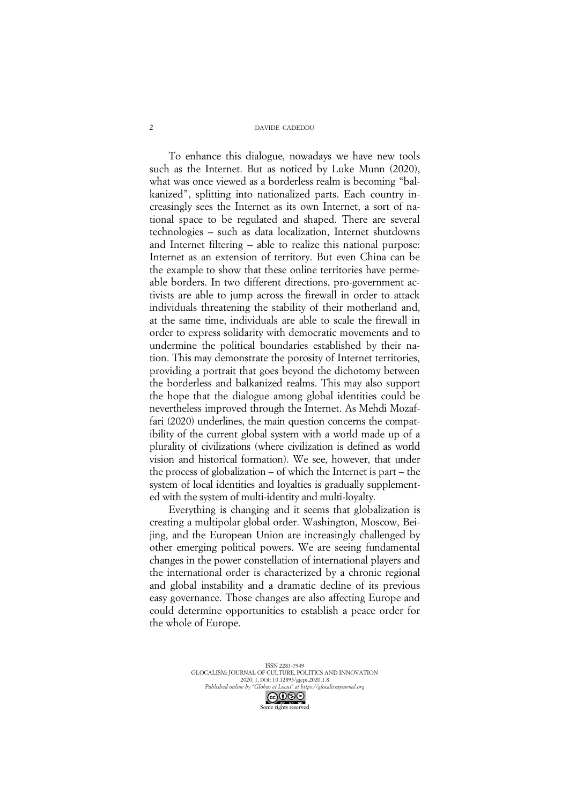## DAVIDE CADEDDU

To enhance this dialogue, nowadays we have new tools such as the Internet. But as noticed by Luke Munn (2020), what was once viewed as a borderless realm is becoming "balkanized", splitting into nationalized parts. Each country increasingly sees the Internet as its own Internet, a sort of national space to be regulated and shaped. There are several technologies – such as data localization, Internet shutdowns and Internet filtering – able to realize this national purpose: Internet as an extension of territory. But even China can be the example to show that these online territories have permeable borders. In two different directions, pro-government activists are able to jump across the firewall in order to attack individuals threatening the stability of their motherland and, at the same time, individuals are able to scale the firewall in order to express solidarity with democratic movements and to undermine the political boundaries established by their nation. This may demonstrate the porosity of Internet territories, providing a portrait that goes beyond the dichotomy between the borderless and balkanized realms. This may also support the hope that the dialogue among global identities could be nevertheless improved through the Internet. As Mehdi Mozaffari (2020) underlines, the main question concerns the compatibility of the current global system with a world made up of a plurality of civilizations (where civilization is defined as world vision and historical formation). We see, however, that under the process of globalization – of which the Internet is part – the system of local identities and loyalties is gradually supplemented with the system of multi-identity and multi-loyalty.

Everything is changing and it seems that globalization is creating a multipolar global order. Washington, Moscow, Beijing, and the European Union are increasingly challenged by other emerging political powers. We are seeing fundamental changes in the power constellation of international players and the international order is characterized by a chronic regional and global instability and a dramatic decline of its previous easy governance. Those changes are also affecting Europe and could determine opportunities to establish a peace order for the whole of Europe.